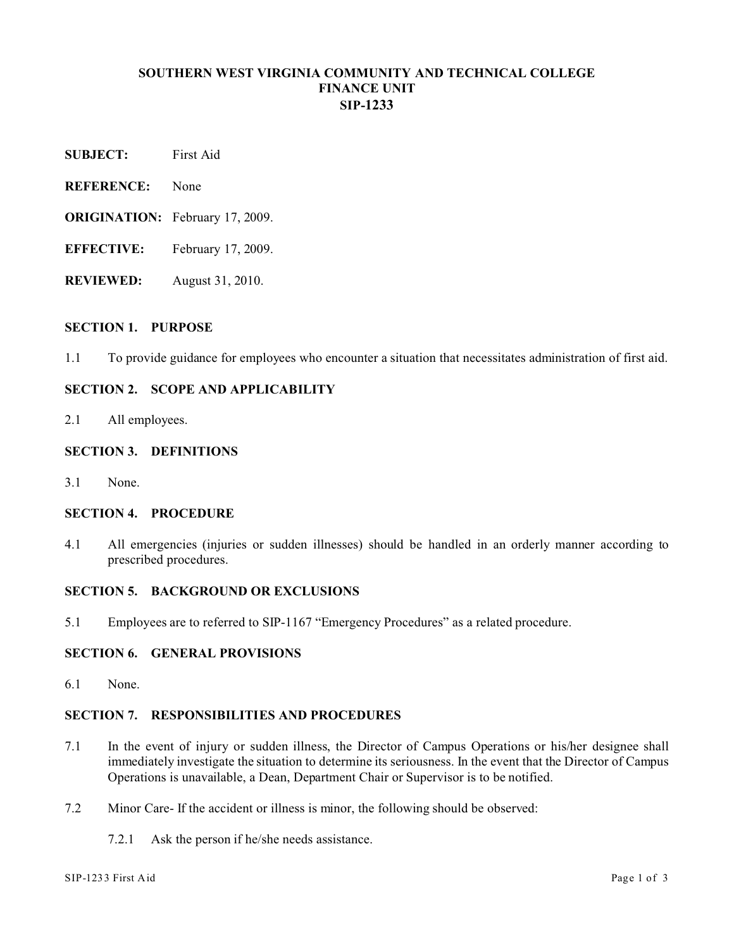## **SOUTHERN WEST VIRGINIA COMMUNITY AND TECHNICAL COLLEGE FINANCE UNIT SIP-1233**

- **SUBJECT:** First Aid
- **REFERENCE:** None
- **ORIGINATION:** February 17, 2009.
- **EFFECTIVE:** February 17, 2009.
- **REVIEWED:** August 31, 2010.

#### **SECTION 1. PURPOSE**

1.1 To provide guidance for employees who encounter a situation that necessitates administration of first aid.

# **SECTION 2. SCOPE AND APPLICABILITY**

2.1 All employees.

### **SECTION 3. DEFINITIONS**

3.1 None.

## **SECTION 4. PROCEDURE**

4.1 All emergencies (injuries or sudden illnesses) should be handled in an orderly manner according to prescribed procedures.

#### **SECTION 5. BACKGROUND OR EXCLUSIONS**

5.1 Employees are to referred to SIP-1167 "Emergency Procedures" as a related procedure.

### **SECTION 6. GENERAL PROVISIONS**

6.1 None.

## **SECTION 7. RESPONSIBILITIES AND PROCEDURES**

- 7.1 In the event of injury or sudden illness, the Director of Campus Operations or his/her designee shall immediately investigate the situation to determine its seriousness. In the event that the Director of Campus Operations is unavailable, a Dean, Department Chair or Supervisor is to be notified.
- 7.2 Minor Care- If the accident or illness is minor, the following should be observed:
	- 7.2.1 Ask the person if he/she needs assistance.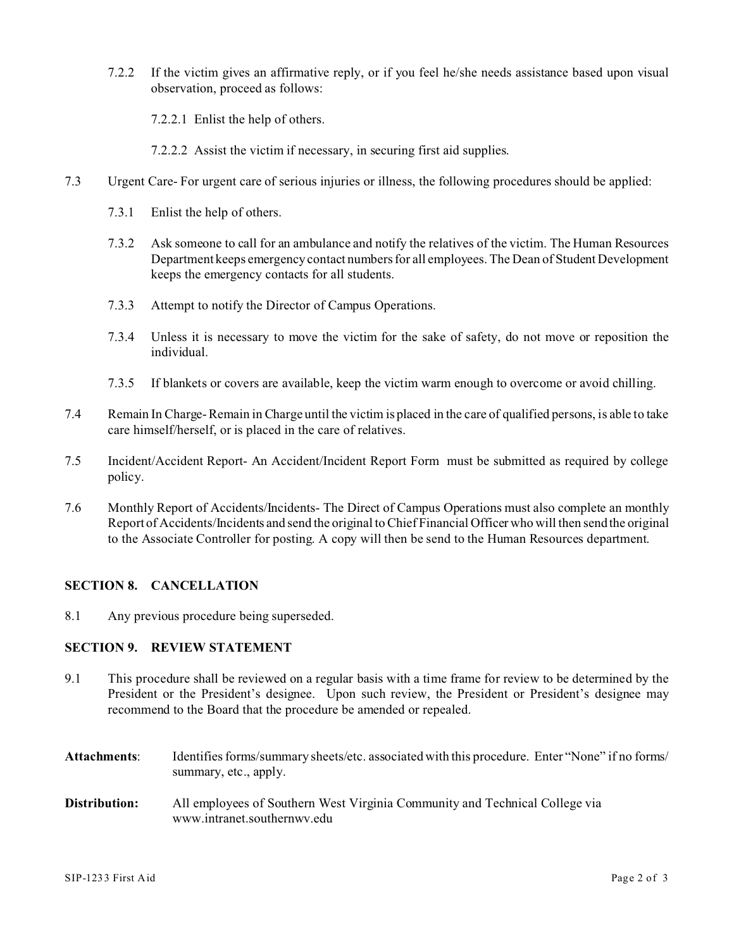7.2.2 If the victim gives an affirmative reply, or if you feel he/she needs assistance based upon visual observation, proceed as follows:

7.2.2.1 Enlist the help of others.

7.2.2.2 Assist the victim if necessary, in securing first aid supplies.

- 7.3 Urgent Care- For urgent care of serious injuries or illness, the following procedures should be applied:
	- 7.3.1 Enlist the help of others.
	- 7.3.2 Ask someone to call for an ambulance and notify the relatives of the victim. The Human Resources Department keeps emergency contact numbers for all employees. The Dean of Student Development keeps the emergency contacts for all students.
	- 7.3.3 Attempt to notify the Director of Campus Operations.
	- 7.3.4 Unless it is necessary to move the victim for the sake of safety, do not move or reposition the individual.
	- 7.3.5 If blankets or covers are available, keep the victim warm enough to overcome or avoid chilling.
- 7.4 Remain In Charge- Remain in Charge until the victim is placed in the care of qualified persons, is able to take care himself/herself, or is placed in the care of relatives.
- 7.5 Incident/Accident Report- An Accident/Incident Report Form must be submitted as required by college policy.
- 7.6 Monthly Report of Accidents/Incidents- The Direct of Campus Operations must also complete an monthly Report of Accidents/Incidents and send the original to Chief Financial Officer who will then send the original to the Associate Controller for posting. A copy will then be send to the Human Resources department.

### **SECTION 8. CANCELLATION**

8.1 Any previous procedure being superseded.

### **SECTION 9. REVIEW STATEMENT**

- 9.1 This procedure shall be reviewed on a regular basis with a time frame for review to be determined by the President or the President's designee. Upon such review, the President or President's designee may recommend to the Board that the procedure be amended or repealed.
- **Attachments**: Identifies forms/summary sheets/etc. associated with this procedure. Enter "None" if no forms/ summary, etc., apply. **Distribution:** All employees of Southern West Virginia Community and Technical College via www.intranet.southernwv.edu